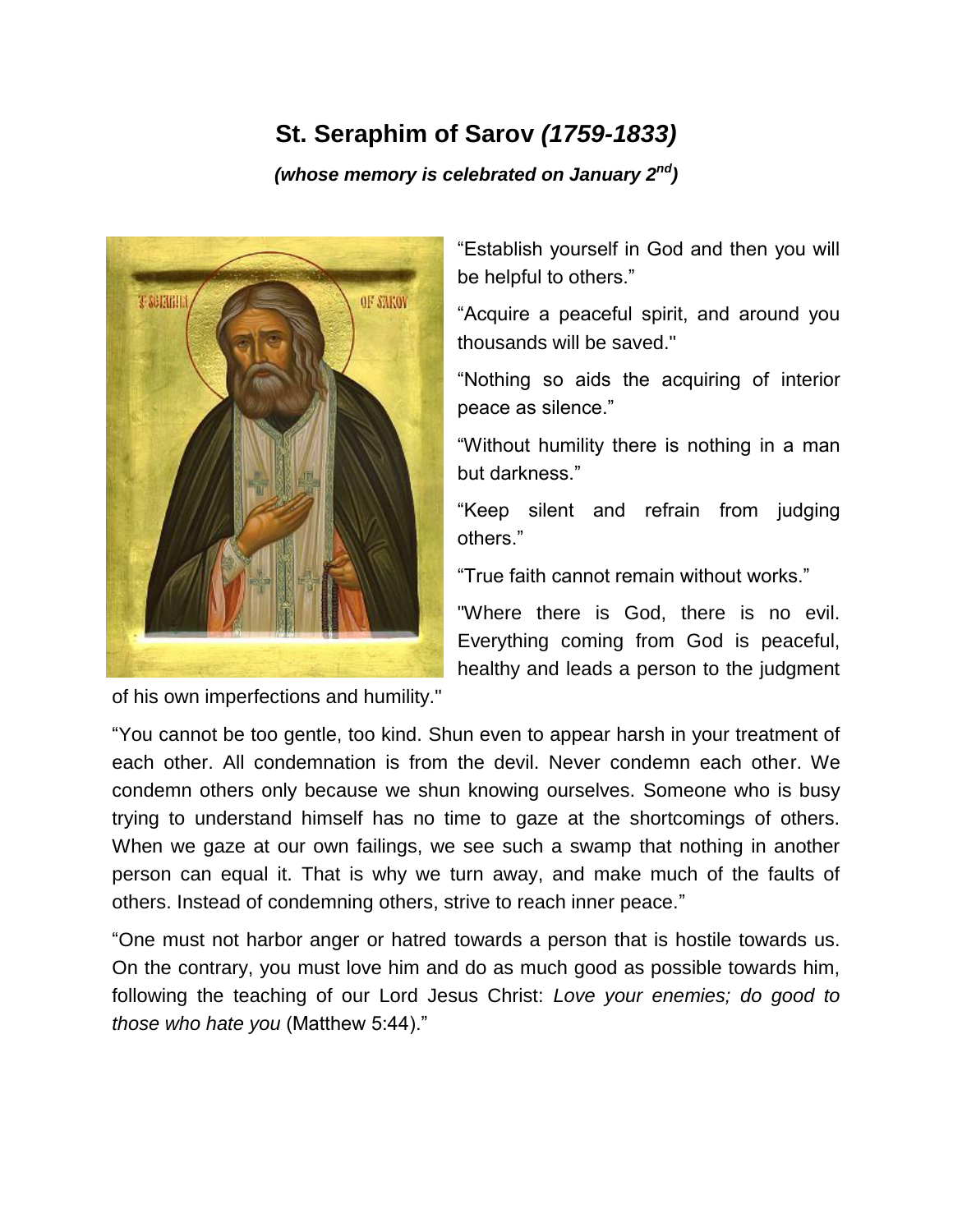## **St. Seraphim of Sarov** *(1759-1833)*

*(whose memory is celebrated on January 2nd)*



of his own imperfections and humility."

"Establish yourself in God and then you will be helpful to others."

"Acquire a peaceful spirit, and around you thousands will be saved."

"Nothing so aids the acquiring of interior peace as silence."

"Without humility there is nothing in a man but darkness."

"Keep silent and refrain from judging others."

"True faith cannot remain without works."

"Where there is God, there is no evil. Everything coming from God is peaceful, healthy and leads a person to the judgment

"You cannot be too gentle, too kind. Shun even to appear harsh in your treatment of each other. All condemnation is from the devil. Never condemn each other. We condemn others only because we shun knowing ourselves. Someone who is busy trying to understand himself has no time to gaze at the shortcomings of others. When we gaze at our own failings, we see such a swamp that nothing in another person can equal it. That is why we turn away, and make much of the faults of others. Instead of condemning others, strive to reach inner peace."

"One must not harbor anger or hatred towards a person that is hostile towards us. On the contrary, you must love him and do as much good as possible towards him, following the teaching of our Lord Jesus Christ: *Love your enemies; do good to those who hate you* (Matthew 5:44)."